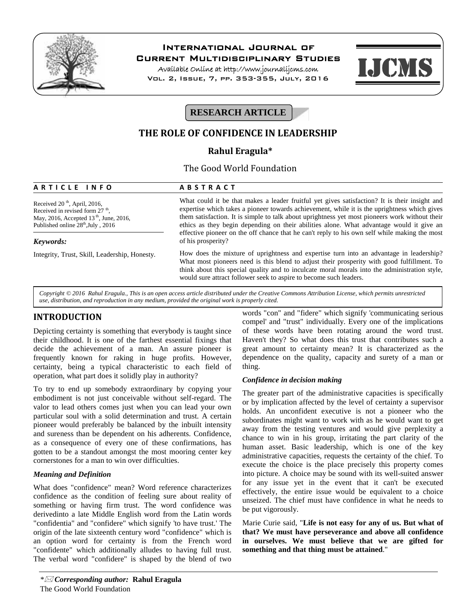

# **International Journal of**

**Current Multidisciplinary Studies**

**Available Online at http://www.journalijcms.com** Vol. 2, Issue, 7, pp. 353-355, July, 2016



# **RESEARCH ARTICLE**

# **THE ROLE OF CONFIDENCE IN LEADERSHIP**

## **Rahul Eragula\***

# The Good World Foundation **A R T I C L E I N F O**<br> **A B S T R A C T**<br> **A** B S T R A C T<br> **A** B S T R A C T<br> **A** B S T R A C T<br>
What could it be that makes a leader fr

Received  $20<sup>th</sup>$ , April, 2016, Received in revised form  $27<sup>th</sup>$ , , May, 2016, Accepted 13<sup>th</sup>, June, 2016, Published online  $28<sup>th</sup>$ , July, 2016

#### *Keywords:*

Integrity, Trust, Skill, Leadership, Honesty.

What could it be that makes a leader fruitful yet gives satisfaction? It is their insight and expertise which takes a pioneer towards achievement, while it is the uprightness which gives them satisfaction. It is simple to talk about uprightness yet most pioneers work without their ethics as they begin depending on their abilities alone. What advantage would it give an effective pioneer on the off chance that he can't reply to his own self while making the most of his prosperity?

How does the mixture of uprightness and expertise turn into an advantage in leadership? What most pioneers need is this blend to adjust their prosperity with good fulfillment. To think about this special quality and to inculcate moral morals into the administration style, would sure attract follower seek to aspire to become such leaders.

*Copyright © 2016 Rahul Eragula., This is an open access article distributed under the Creative Commons Attribution License, which permits unrestricted use, distribution, and reproduction in any medium, provided the original work is properly cited.*

# **INTRODUCTION**

Depicting certainty is something that everybody is taught since their childhood. It is one of the farthest essential fixings that decide the achievement of a man. An assure pioneer is frequently known for raking in huge profits. However, certainty, being a typical characteristic to each field of operation, what part does itsolidly play in authority?

To try to end up somebody extraordinary by copying your embodiment is not just conceivable without self-regard. The valor to lead others comes just when you can lead your own particular soul with a solid determination and trust. A certain pioneer would preferably be balanced by the inbuilt intensity and sureness than be dependent on his adherents. Confidence, as a consequence of every one of these confirmations, has gotten to be a standout amongst the most mooring center key cornerstones for a man to win over difficulties.

### *Meaning and Definition*

What does "confidence" mean? Word reference characterizes confidence as the condition of feeling sure about reality of something or having firm trust. The word confidence was derivedinto a late Middle English word from the Latin words "confidentia" and "confidere" which signify 'to have trust.' The origin of the late sixteenth century word "confidence" which is an option word for certainty is from the French word "confidente" which additionally alludes to having full trust. The verbal word "confidere" is shaped by the blend of two

words "con" and "fidere" which signify 'communicating serious compel' and "trust" individually. Every one of the implications of these words have been rotating around the word trust. Haven't they? So what does this trust that contributes such a great amount to certainty mean? It is characterized as the dependence on the quality, capacity and surety of a man or thing.

#### *Confidence in decision making*

The greater part of the administrative capacities is specifically or by implication affected by the level of certainty a supervisor holds. An unconfident executive is not a pioneer who the subordinates might want to work with as he would want to get away from the testing ventures and would give perplexity a chance to win in his group, irritating the part clarity of the human asset. Basic leadership, which is one of the key administrative capacities, requests the certainty of the chief. To execute the choice is the place precisely this property comes into picture. A choice may be sound with its well-suited answer for any issue yet in the event that it can't be executed effectively, the entire issue would be equivalent to a choice unseized. The chief must have confidence in what he needs to be put vigorously.

Marie Curie said, "**Life is not easy for any ofus. But what of that? We must have perseverance and above all confidence in ourselves. We must believe that we are gifted for something and that thing must be attained**."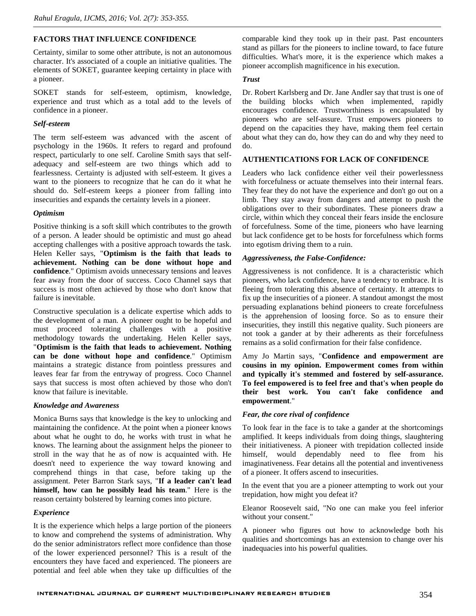#### **FACTORS THAT INFLUENCE CONFIDENCE**

Certainty, similar to some other attribute, is not an autonomous character. It's associated of a couple an initiative qualities. The elements of SOKET, guarantee keeping certainty in place with a pioneer.

SOKET stands for self-esteem, optimism, knowledge, experience and trust which as a total add to the levels of confidence in a pioneer.

#### *Self-esteem*

The term self-esteem was advanced with the ascent of psychology in the 1960s. It refers to regard and profound respect, particularly to one self. Caroline Smith says that self adequacy and self-esteem are two things which add to fearlessness. Certainty is adjusted with self-esteem. It gives a want to the pioneers to recognize that he can do it what he should do. Self-esteem keeps a pioneer from falling into insecurities and expands the certainty levels in a pioneer.

#### *Optimism*

Positive thinking is a soft skill which contributes to the growth of a person. A leader should be optimistic and must go ahead accepting challenges with a positive approach towards the task. Helen Keller says, "**Optimism is the faith that leads to achievement. Nothing can be done without hope and** confidence." Optimism avoids unnecessary tensions and leaves fear away from the door of success. Coco Channel says that success is most often achieved by those who don't know that failure is inevitable.

Constructive speculation is a delicate expertise which adds to the development of a man. A pioneer ought to be hopeful and must proceed tolerating challenges with a positive methodology towards the undertaking. Helen Keller says, "**Optimism is the faith that leads to achievement. Nothing can be done without hope and confidence**." Optimism maintains a strategic distance from pointless pressures and leaves fear far from the entryway of progress. Coco Channel says that success is most often achieved by those who don't know that failure is inevitable.

#### *Knowledge and Awareness*

Monica Burns says that knowledge is the key to unlocking and maintaining the confidence. At the point when a pioneer knows about what he ought to do, he works with trust in what he knows. The learning about the assignment helps the pioneer to stroll in the way that he as of now is acquainted with. He doesn't need to experience the way toward knowing and comprehend things in that case, before taking up the assignment. Peter Barron Stark says, "**If a leader can't lead himself, how can he possibly lead his team**." Here is the reason certainty bolstered by learning comes into picture.

#### *Experience*

It is the experience which helps a large portion of the pioneers to know and comprehend the systems of administration. Why do the senior administrators reflect more confidence than those of the lower experienced personnel? This is a result of the encounters they have faced and experienced. The pioneers are potential and feel able when they take up difficulties of the

comparable kind they took up in their past. Past encounters stand as pillars for the pioneers to incline toward, to face future difficulties. What's more, it is the experience which makes a pioneer accomplish magnificence in his execution.

#### *Trust*

Dr. Robert Karlsberg and Dr. Jane Andler say that trust is one of the building blocks which when implemented, rapidly encourages confidence. Trustworthiness is encapsulated by pioneers who are self-assure. Trust empowers pioneers to depend on the capacities they have, making them feel certain about what they can do, how they can do and why they need to do.

#### **AUTHENTICATIONS FOR LACK OF CONFIDENCE**

Leaders who lack confidence either veil their powerlessness with forcefulness or actuate themselves into their internal fears. They fear they do not have the experience and don't go out on a limb. They stay away from dangers and attempt to push the obligations over to their subordinates. These pioneers draw a circle, within which they conceal their fears inside the enclosure of forcefulness. Some of the time, pioneers who have learning but lack confidence get to be hosts for forcefulness which forms into egotism driving them to a ruin.

#### *Aggressiveness, the False-Confidence:*

Aggressiveness is not confidence. It is a characteristic which pioneers, who lack confidence, have a tendency to embrace. It is fleeing from tolerating this absence of certainty. It attempts to fix up the insecurities of a pioneer. A standout amongst the most persuading explanations behind pioneers to create forcefulness is the apprehension of loosing force. So as to ensure their insecurities, they instill this negative quality. Such pioneers are not took a gander at by their adherents as their forcefulness remains as a solid confirmation for their false confidence.

Amy Jo Martin says, "**Confidence and empowerment are cousins in my opinion. Empowerment comes from within and typically it's stemmed and fostered by self-assurance. To feel empowered is to feel free and that's when people do their best work. You can't fake confidence and empowerment**."

#### *Fear, the core rival of confidence*

To look fear in the face is to take a gander at the shortcomings amplified. It keeps individuals from doing things, slaughtering their initiativeness. A pioneer with trepidation collected inside himself, would dependably need to flee from his imaginativeness. Fear detains all the potential and inventiveness of a pioneer. It offers ascend to insecurities.

In the event that you are a pioneer attempting to work out your trepidation, how might you defeat it?

Eleanor Roosevelt said, "No one can make you feel inferior without your consent."

A pioneer who figures out how to acknowledge both his qualities and shortcomings has an extension to change over his inadequacies into his powerful qualities.